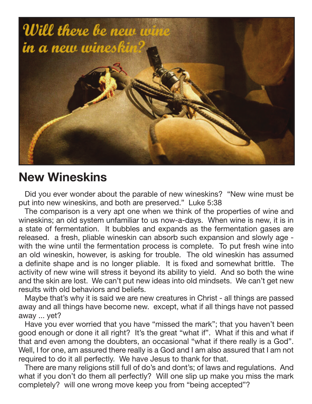

## **New Wineskins**

Did you ever wonder about the parable of new wineskins? "New wine must be put into new wineskins, and both are preserved." Luke 5:38

The comparison is a very apt one when we think of the properties of wine and wineskins; an old system unfamiliar to us now-a-days. When wine is new, it is in a state of fermentation. It bubbles and expands as the fermentation gases are released. a fresh, pliable wineskin can absorb such expansion and slowly age with the wine until the fermentation process is complete. To put fresh wine into an old wineskin, however, is asking for trouble. The old wineskin has assumed a definite shape and is no longer pliable. It is fixed and somewhat brittle. The activity of new wine will stress it beyond its ability to yield. And so both the wine and the skin are lost. We can't put new ideas into old mindsets. We can't get new results with old behaviors and beliefs.

Maybe that's why it is said we are new creatures in Christ - all things are passed away and all things have become new. except, what if all things have not passed away ... yet?

Have you ever worried that you have "missed the mark"; that you haven't been good enough or done it all right? It's the great "what if". What if this and what if that and even among the doubters, an occasional "what if there really is a God". Well, I for one, am assured there really is a God and I am also assured that I am not required to do it all perfectly. We have Jesus to thank for that.

There are many religions still full of do's and dont's; of laws and regulations. And what if you don't do them all perfectly? Will one slip up make you miss the mark completely? will one wrong move keep you from "being accepted"?